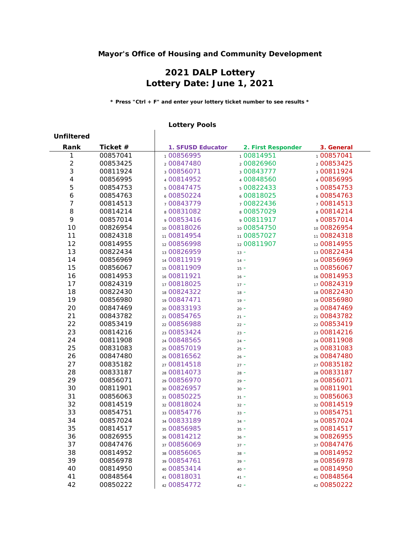## **Mayor's Office of Housing and Community Development**

## **2021 DALP Lottery Lottery Date: June 1, 2021**

**\* Press "Ctrl + F" and enter your lottery ticket number to see results \***

## **Lottery Pools**

 $\overline{1}$ 

| <b>Unfiltered</b> |          |                   |                    |             |
|-------------------|----------|-------------------|--------------------|-------------|
| Rank              | Ticket # | 1. SFUSD Educator | 2. First Responder | 3. General  |
| 1                 | 00857041 | 100856995         | 100814951          | 100857041   |
| $\overline{2}$    | 00853425 | 200847480         | 200826960          | 200853425   |
| $\mathbf{3}$      | 00811924 | 300856071         | 300843777          | 300811924   |
| $\overline{4}$    | 00856995 | 400814952         | 400848560          | 400856995   |
| 5                 | 00854753 | 500847475         | 5 00822433         | 5 00854753  |
| 6                 | 00854763 | 600850224         | 6 00818025         | 600854763   |
| 7                 | 00814513 | 700843779         | 700822436          | 700814513   |
| 8                 | 00814214 | 800831082         | 800857029          | 800814214   |
| 9                 | 00857014 | 900853416         | 900811917          | 900857014   |
| 10                | 00826954 | 10 00818026       | 10 00854750        | 10 00826954 |
| 11                | 00824318 | 11 00814954       | 11 00857027        | 11 00824318 |
| 12                | 00814955 | 12 00856998       | 12 00811907        | 12 00814955 |
| 13                | 00822434 | 13 00826959       | $13 -$             | 13 00822434 |
| 14                | 00856969 | 14 00811919       | $14 -$             | 14 00856969 |
| 15                | 00856067 | 15 00811909       | $15 -$             | 15 00856067 |
| 16                | 00814953 | 16 00811921       | $16 -$             | 16 00814953 |
| 17                | 00824319 | 17 00818025       | $17 -$             | 17 00824319 |
| 18                | 00822430 | 18 00824322       | $18 -$             | 18 00822430 |
| 19                | 00856980 | 19 00847471       | $19 -$             | 19 00856980 |
| 20                | 00847469 | 20 00833193       | $20 -$             | 20 00847469 |
| 21                | 00843782 | 21 00854765       | $21 -$             | 21 00843782 |
| 22                | 00853419 | 22 00856988       | $22 -$             | 22 00853419 |
| 23                | 00814216 | 23 00853424       | $23 -$             | 23 00814216 |
| 24                | 00811908 | 24 00848565       | $24 -$             | 24 00811908 |
| 25                | 00831083 | 25 00857019       | $25 -$             | 25 00831083 |
| 26                | 00847480 | 26 00816562       | $26 -$             | 26 00847480 |
| 27                | 00835182 | 27 00814518       | $27 -$             | 27 00835182 |
| 28                | 00833187 | 28 00814073       | $28 -$             | 28 00833187 |
| 29                | 00856071 | 29 00856970       | $29 -$             | 29 00856071 |
| 30                | 00811901 | 30 00826957       | $30 -$             | 30 00811901 |
| 31                | 00856063 | 31 00850225       | $31 -$             | 31 00856063 |
| 32                | 00814519 | 32 00818024       | $32 -$             | 32 00814519 |
| 33                | 00854751 | 33 00854776       | $33 -$             | 33 00854751 |
| 34                | 00857024 | 34 00833189       | $34 -$             | 34 00857024 |
| 35                | 00814517 | 35 00856985       | $35 -$             | 35 00814517 |
| 36                | 00826955 | 36 00814212       | $36 -$             | 36 00826955 |
| 37                | 00847476 | 37 00856069       | $37 -$             | 37 00847476 |
| 38                | 00814952 | 38 00856065       | $38 -$             | 38 00814952 |
| 39                | 00856978 | 39 00854761       | $39 -$             | 39 00856978 |
| 40                | 00814950 | 40 00853414       | $40 -$             | 40 00814950 |
| 41                | 00848564 | 41 00818031       | $41 -$             | 41 00848564 |
| 42                | 00850222 | 42 00854772       | $42 -$             | 42 00850222 |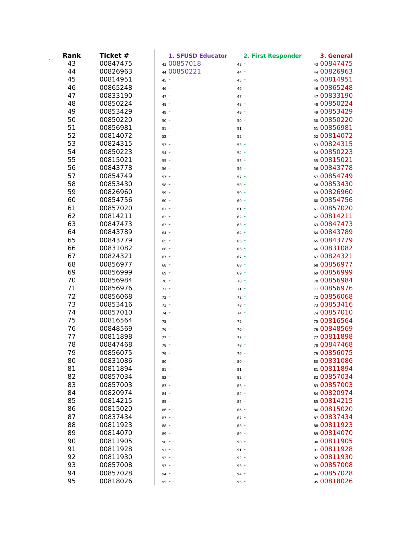| Rank | Ticket # | 1. SFUSD Educator | 2. First Responder | 3. General  |
|------|----------|-------------------|--------------------|-------------|
| 43   | 00847475 | 43 00857018       | $43 -$             | 43 00847475 |
| 44   | 00826963 | 44 00850221       | $44 -$             | 44 00826963 |
| 45   | 00814951 | $45 -$            | $45 -$             | 45 00814951 |
| 46   | 00865248 | $46 -$            | $46 -$             | 46 00865248 |
| 47   | 00833190 | $47 -$            | $47 -$             | 47 00833190 |
| 48   | 00850224 | $48 -$            | $48 -$             | 48 00850224 |
| 49   | 00853429 | $49 -$            | $49 -$             | 49 00853429 |
| 50   | 00850220 | $50 -$            | $50 -$             | 50 00850220 |
| 51   | 00856981 | $51 -$            | $51 -$             | 51 00856981 |
| 52   | 00814072 | $52 -$            | $52 -$             | 52 00814072 |
| 53   | 00824315 | $53 -$            | $53 -$             | 53 00824315 |
| 54   | 00850223 | $54 -$            | $54 -$             | 54 00850223 |
| 55   | 00815021 | $55 -$            | $55 -$             | 55 00815021 |
| 56   | 00843778 | $56 -$            | $56 -$             | 56 00843778 |
| 57   | 00854749 | $57 -$            | $57 -$             | 57 00854749 |
| 58   | 00853430 | $58 -$            | $58 -$             | 58 00853430 |
| 59   | 00826960 | $59 -$            | $59 -$             | 59 00826960 |
| 60   | 00854756 | $60 -$            | $60 -$             | 600854756   |
| 61   | 00857020 | $61 -$            | $61 -$             | 61 00857020 |
| 62   | 00814211 | $62 -$            | $62 -$             | 62 00814211 |
| 63   | 00847473 | $63 -$            | $63 -$             | 63 00847473 |
| 64   | 00843789 | $64 -$            | $64 -$             | 64 00843789 |
| 65   | 00843779 | $65 -$            | $65 -$             | 65 00843779 |
| 66   | 00831082 | $66 -$            | $66 -$             | 66 00831082 |
| 67   | 00824321 | $67 -$            | $67 -$             | 67 00824321 |
| 68   | 00856977 | $68 -$            | $68 -$             | 68 00856977 |
| 69   | 00856999 | $69 -$            | $69 -$             | 69 00856999 |
| 70   | 00856984 | $70 -$            | $70 -$             | 70 00856984 |
| 71   | 00856976 | $71 -$            | $71 -$             | 71 00856976 |
| 72   | 00856068 | $72 -$            | $72 -$             | 72 00856068 |
| 73   | 00853416 | $73 -$            | $73 -$             | 73 00853416 |
| 74   | 00857010 | $74 -$            | $74 -$             | 74 00857010 |
| 75   | 00816564 | $75 -$            | $75 -$             | 75 00816564 |
| 76   | 00848569 | $76 -$            | $76 -$             | 76 00848569 |
| 77   | 00811898 | $77 -$            | $77 -$             | 77 00811898 |
| 78   | 00847468 | $78 -$            | $78 -$             | 78 00847468 |
| 79   | 00856075 | $79 -$            | $79 -$             | 79 00856075 |
| 80   | 00831086 | $80 -$            | $80 -$             | 80 00831086 |
| 81   | 00811894 | $81 -$            | $81 -$             | 81 00811894 |
| 82   | 00857034 | $82 -$            | $82 -$             | 82 00857034 |
| 83   | 00857003 | $83 -$            | $83 -$             | 83 00857003 |
| 84   | 00820974 | $84 -$            | $84 -$             | 84 00820974 |
| 85   | 00814215 | $85 -$            | $85 -$             | 85 00814215 |
| 86   | 00815020 | $86 -$            | $86 -$             | 86 00815020 |
| 87   | 00837434 | $87 -$            | $87 -$             | 87 00837434 |
| 88   | 00811923 | $88 -$            | $88 -$             | 88 00811923 |
| 89   | 00814070 | $89 -$            | $89 -$             | 89 00814070 |
| 90   | 00811905 | $90 -$            | $90 -$             | 90 00811905 |
| 91   | 00811928 | $91 -$            | $91 -$             | 91 00811928 |
| 92   | 00811930 | $92 -$            | $92 -$             | 92 00811930 |
| 93   | 00857008 | $93 -$            | $93 -$             | 93 00857008 |
| 94   | 00857028 | $94 -$            | $94 -$             | 94 00857028 |
| 95   | 00818026 | $95 -$            | $95 -$             | 95 00818026 |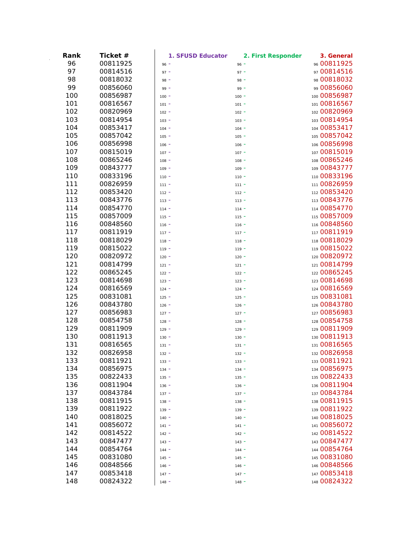| Rank | Ticket # | 1. SFUSD Educator | 2. First Responder | 3. General   |
|------|----------|-------------------|--------------------|--------------|
| 96   | 00811925 | $96 -$            | $96 -$             | 96 00811925  |
| 97   | 00814516 | $97 -$            | $97 -$             | 97 00814516  |
| 98   | 00818032 | $98 -$            | $98 -$             | 98 00818032  |
| 99   | 00856060 | $99 -$            | $99 -$             | 99 00856060  |
| 100  | 00856987 | $100 -$           | $100 -$            | 100 00856987 |
| 101  | 00816567 | $101 -$           | $101 -$            | 101 00816567 |
| 102  | 00820969 | $102 -$           | $102 -$            | 102 00820969 |
| 103  | 00814954 | $103 -$           | $103 -$            | 103 00814954 |
| 104  | 00853417 | $104 -$           | $104 -$            | 104 00853417 |
| 105  | 00857042 | $105 -$           | $105 -$            | 105 00857042 |
| 106  | 00856998 | $106 -$           | $106 -$            | 106 00856998 |
| 107  | 00815019 | $107 -$           | $107 -$            | 107 00815019 |
| 108  | 00865246 | $108 -$           | $108 -$            | 108 00865246 |
| 109  | 00843777 | $109 -$           | $109 -$            | 109 00843777 |
| 110  | 00833196 | $110 -$           | $110 -$            | 110 00833196 |
| 111  | 00826959 | $111 -$           | $111 -$            | 111 00826959 |
| 112  | 00853420 | $112 -$           | $112 -$            | 112 00853420 |
| 113  | 00843776 | $113 -$           | $113 -$            | 113 00843776 |
| 114  | 00854770 | $114 -$           | $114 -$            | 114 00854770 |
| 115  | 00857009 | $115 -$           | $115 -$            | 115 00857009 |
| 116  | 00848560 | $116 -$           | $116 -$            | 116 00848560 |
| 117  | 00811919 | $117 -$           | $117 -$            | 117 00811919 |
| 118  | 00818029 | $118 -$           | $118 -$            | 118 00818029 |
| 119  | 00815022 | $119 -$           | $119 -$            | 119 00815022 |
| 120  | 00820972 | $120 -$           | $120 -$            | 120 00820972 |
| 121  | 00814799 | $121 -$           | $121 -$            | 121 00814799 |
| 122  | 00865245 | $122 -$           | $122 -$            | 122 00865245 |
| 123  | 00814698 | $123 -$           | $123 -$            | 123 00814698 |
| 124  | 00816569 | $124 -$           | $124 -$            | 124 00816569 |
| 125  | 00831081 | $125 -$           | $125 -$            | 125 00831081 |
| 126  | 00843780 | $126 -$           | $126 -$            | 126 00843780 |
| 127  | 00856983 | $127 -$           | $127 -$            | 127 00856983 |
| 128  | 00854758 | $128 -$           | $128 -$            | 128 00854758 |
| 129  | 00811909 | $129 -$           | $129 -$            | 129 00811909 |
| 130  | 00811913 | $130 -$           | $130 -$            | 130 00811913 |
| 131  | 00816565 | $131 -$           | $131 -$            | 131 00816565 |
| 132  | 00826958 | $132 -$           | $132 -$            | 132 00826958 |
| 133  | 00811921 | $133 -$           | $133 -$            | 133 00811921 |
| 134  | 00856975 | $134 -$           | $134 -$            | 134 00856975 |
| 135  | 00822433 | $135 -$           | $135 -$            | 135 00822433 |
| 136  | 00811904 | $136 -$           | $136 -$            | 136 00811904 |
| 137  | 00843784 | $137 -$           | $137 -$            | 137 00843784 |
| 138  | 00811915 | $138 -$           | $138 -$            | 138 00811915 |
| 139  | 00811922 | $139 -$           | $139 -$            | 139 00811922 |
| 140  | 00818025 | $140 -$           | $140 -$            | 140 00818025 |
| 141  | 00856072 | $141 -$           | $141 -$            | 141 00856072 |
| 142  | 00814522 | $142 -$           | $142 -$            | 142 00814522 |
| 143  | 00847477 | $143 -$           | $143 -$            | 143 00847477 |
| 144  | 00854764 | $144 -$           | $144 -$            | 144 00854764 |
| 145  | 00831080 | $145 -$           | $145 -$            | 145 00831080 |
| 146  | 00848566 | $146 -$           | $146 -$            | 146 00848566 |
| 147  | 00853418 | $147 -$           | $147 -$            | 147 00853418 |
| 148  | 00824322 | $148 -$           | $148 -$            | 148 00824322 |
|      |          |                   |                    |              |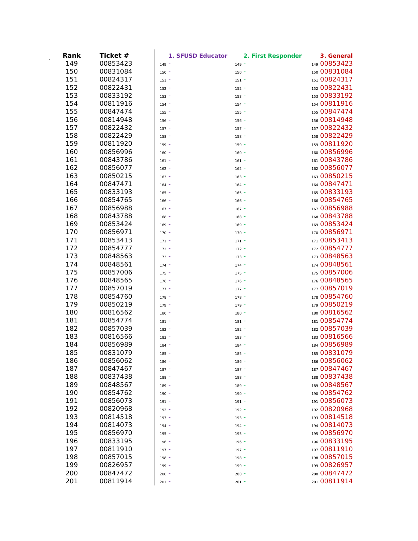| Rank | Ticket # | 1. SFUSD Educator | 2. First Responder | 3. General   |
|------|----------|-------------------|--------------------|--------------|
| 149  | 00853423 | $149 -$           | $149 -$            | 149 00853423 |
| 150  | 00831084 | $150 -$           | $150 -$            | 150 00831084 |
| 151  | 00824317 | $151 -$           | $151 -$            | 151 00824317 |
| 152  | 00822431 | $152 -$           | $152 -$            | 152 00822431 |
| 153  | 00833192 | $153 -$           | $153 -$            | 153 00833192 |
| 154  | 00811916 | $154 -$           | $154 -$            | 154 00811916 |
| 155  | 00847474 | $155 -$           | $155 -$            | 155 00847474 |
| 156  | 00814948 | $156 -$           | $156 -$            | 156 00814948 |
| 157  | 00822432 | $157 -$           | $157 -$            | 157 00822432 |
| 158  | 00822429 | $158 -$           | $158 -$            | 158 00822429 |
| 159  | 00811920 | $159 -$           | $159 -$            | 159 00811920 |
| 160  | 00856996 | $160 -$           | $160 -$            | 160 00856996 |
| 161  | 00843786 | $161 -$           | $161 -$            | 161 00843786 |
| 162  | 00856077 | $162 -$           | $162 -$            | 162 00856077 |
| 163  | 00850215 | $163 -$           | $163 -$            | 163 00850215 |
| 164  | 00847471 | $164 -$           | $164 -$            | 164 00847471 |
| 165  | 00833193 | $165 -$           | $165 -$            | 165 00833193 |
| 166  | 00854765 | $166 -$           | $166 -$            | 166 00854765 |
| 167  | 00856988 | $167 -$           | $167 -$            | 167 00856988 |
| 168  | 00843788 | $168 -$           | $168 -$            | 168 00843788 |
| 169  | 00853424 | $169 -$           | $169 -$            | 169 00853424 |
| 170  | 00856971 | $170 -$           | $170 -$            | 170 00856971 |
| 171  | 00853413 | $171 -$           | $171 -$            | 171 00853413 |
| 172  | 00854777 | $172 -$           | $172 -$            | 172 00854777 |
| 173  | 00848563 | $173 -$           | $173 -$            | 173 00848563 |
| 174  | 00848561 | $174 -$           | $174 -$            | 174 00848561 |
| 175  | 00857006 | $175 -$           | $175 -$            | 175 00857006 |
| 176  | 00848565 | $176 -$           | $176 -$            | 176 00848565 |
| 177  | 00857019 | $177 -$           | $177 -$            | 177 00857019 |
| 178  | 00854760 | $178 -$           | $178 -$            | 178 00854760 |
| 179  | 00850219 | $179 -$           | $179 -$            | 179 00850219 |
| 180  | 00816562 | $180 -$           | $180 -$            | 180 00816562 |
| 181  | 00854774 | $181 -$           | $181 -$            | 181 00854774 |
| 182  | 00857039 | $182 -$           | $182 -$            | 182 00857039 |
| 183  | 00816566 | $183 -$           | $183 -$            | 183 00816566 |
| 184  | 00856989 | $184 -$           | $184 -$            | 184 00856989 |
| 185  | 00831079 | $185 -$           | $185 -$            | 185 00831079 |
| 186  | 00856062 | $186 -$           | $186 -$            | 186 00856062 |
| 187  | 00847467 | $187 -$           | $187 -$            | 187 00847467 |
| 188  | 00837438 | $188 -$           | $188 -$            | 188 00837438 |
| 189  | 00848567 | $189 -$           | $189 -$            | 189 00848567 |
| 190  | 00854762 | $190 -$           | $190 -$            | 190 00854762 |
| 191  | 00856073 | $191 -$           | $191 -$            | 191 00856073 |
| 192  | 00820968 | $192 -$           | $192 -$            | 192 00820968 |
| 193  | 00814518 | $193 -$           | $193 -$            | 193 00814518 |
| 194  | 00814073 | $194 -$           | $194 -$            | 194 00814073 |
| 195  | 00856970 | $195 -$           | $195 -$            | 195 00856970 |
| 196  | 00833195 | $196 -$           | $196 -$            | 196 00833195 |
| 197  | 00811910 | $197 -$           | $197 -$            | 197 00811910 |
| 198  | 00857015 | $198 -$           | $198 -$            | 198 00857015 |
| 199  | 00826957 | $199 -$           | $199 -$            | 199 00826957 |
| 200  | 00847472 | $200 -$           | $200 -$            | 200 00847472 |
| 201  | 00811914 | $201 -$           | $201 -$            | 201 00811914 |
|      |          |                   |                    |              |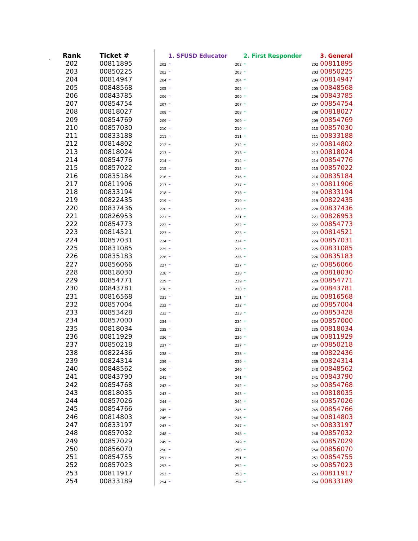| Rank | Ticket # | 1. SFUSD Educator | 2. First Responder | 3. General   |
|------|----------|-------------------|--------------------|--------------|
| 202  | 00811895 | $202 -$           | $202 -$            | 202 00811895 |
| 203  | 00850225 | $203 -$           | $203 -$            | 203 00850225 |
| 204  | 00814947 | $204 -$           | $204 -$            | 204 00814947 |
| 205  | 00848568 | $205 -$           | $205 -$            | 205 00848568 |
| 206  | 00843785 | $206 -$           | $206 -$            | 206 00843785 |
| 207  | 00854754 | $207 -$           | $207 -$            | 207 00854754 |
| 208  | 00818027 | $208 -$           | $208 -$            | 208 00818027 |
| 209  | 00854769 | $209 -$           | $209 -$            | 209 00854769 |
| 210  | 00857030 | $210 -$           | $210 -$            | 210 00857030 |
| 211  | 00833188 | $211 -$           | $211 -$            | 211 00833188 |
| 212  | 00814802 | $212 -$           | $212 -$            | 212 00814802 |
| 213  | 00818024 | $213 -$           | $213 -$            | 213 00818024 |
| 214  | 00854776 | $214 -$           | $214 -$            | 214 00854776 |
| 215  | 00857022 | $215 -$           | $215 -$            | 215 00857022 |
| 216  | 00835184 | $216 -$           | $216 -$            | 216 00835184 |
| 217  | 00811906 | $217 -$           | $217 -$            | 217 00811906 |
| 218  | 00833194 | $218 -$           | $218 -$            | 218 00833194 |
| 219  | 00822435 | $219 -$           | $219 -$            | 219 00822435 |
| 220  | 00837436 | $220 -$           | $220 -$            | 220 00837436 |
| 221  | 00826953 | $221 -$           | $221 -$            | 221 00826953 |
| 222  | 00854773 | $222 -$           | $222 -$            | 222 00854773 |
| 223  | 00814521 | $223 -$           | $223 -$            | 223 00814521 |
| 224  | 00857031 | $224 -$           | $224 -$            | 224 00857031 |
| 225  | 00831085 | $225 -$           | $225 -$            | 225 00831085 |
| 226  | 00835183 | $226 -$           | $226 -$            | 226 00835183 |
| 227  | 00856066 | $227 -$           | $227 -$            | 227 00856066 |
| 228  | 00818030 | $228 -$           | $228 -$            | 228 00818030 |
| 229  | 00854771 | $229 -$           | $229 -$            | 229 00854771 |
| 230  | 00843781 | $230 -$           | $230 -$            | 230 00843781 |
| 231  | 00816568 | $231 -$           | $231 -$            | 231 00816568 |
| 232  | 00857004 | $232 -$           | $232 -$            | 232 00857004 |
| 233  | 00853428 | $233 -$           | $233 -$            | 233 00853428 |
| 234  | 00857000 | $234 -$           | $234 -$            | 234 00857000 |
| 235  | 00818034 | $235 -$           | $235 -$            | 235 00818034 |
| 236  | 00811929 | $236 -$           | $236 -$            | 236 00811929 |
| 237  | 00850218 | $237 -$           | $237 -$            | 237 00850218 |
| 238  | 00822436 | $238 -$           | $238 -$            | 238 00822436 |
| 239  | 00824314 | $239 -$           | $239 -$            | 239 00824314 |
| 240  | 00848562 | $240 -$           | $240 -$            | 240 00848562 |
| 241  | 00843790 | $241 -$           | $241 -$            | 241 00843790 |
| 242  | 00854768 | $242 -$           | $242 -$            | 242 00854768 |
| 243  | 00818035 | $243 -$           | $243 -$            | 243 00818035 |
| 244  | 00857026 | $244 -$           | $244 -$            | 244 00857026 |
| 245  | 00854766 | $245 -$           | $245 -$            | 245 00854766 |
| 246  | 00814803 | $246 -$           | $246 -$            | 246 00814803 |
| 247  | 00833197 | $247 -$           | $247 -$            | 247 00833197 |
| 248  | 00857032 | $248 -$           | $248 -$            | 248 00857032 |
| 249  | 00857029 | $249 -$           | $249 -$            | 249 00857029 |
| 250  | 00856070 | $250 -$           | $250 -$            | 250 00856070 |
| 251  | 00854755 | $251 -$           | $251 -$            | 251 00854755 |
| 252  | 00857023 | $252 -$           | $252 -$            | 252 00857023 |
| 253  | 00811917 | $253 -$           | $253 -$            | 253 00811917 |
| 254  | 00833189 | $254 -$           | $254 -$            | 254 00833189 |
|      |          |                   |                    |              |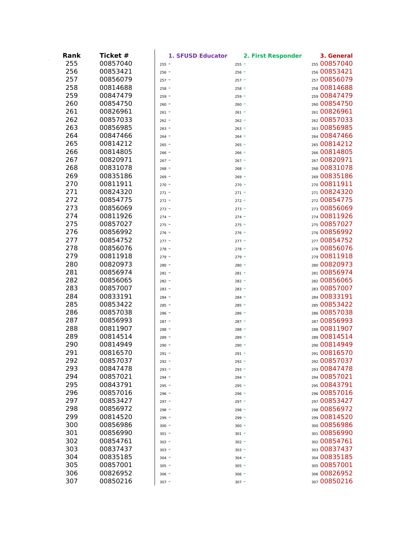| Rank | Ticket # | 1. SFUSD Educator | 2. First Responder | 3. General   |
|------|----------|-------------------|--------------------|--------------|
| 255  | 00857040 | $255 -$           | $255 -$            | 255 00857040 |
| 256  | 00853421 | $256 -$           | $256 -$            | 256 00853421 |
| 257  | 00856079 | $257 -$           | $257 -$            | 257 00856079 |
| 258  | 00814688 | $258 -$           | $258 -$            | 258 00814688 |
| 259  | 00847479 | $259 -$           | $259 -$            | 259 00847479 |
| 260  | 00854750 | $260 -$           | $260 -$            | 260 00854750 |
| 261  | 00826961 | $261 -$           | $261 -$            | 261 00826961 |
| 262  | 00857033 | $262 -$           | $262 -$            | 262 00857033 |
| 263  | 00856985 | $263 -$           | $263 -$            | 263 00856985 |
| 264  | 00847466 | $264 -$           | $264 -$            | 264 00847466 |
| 265  | 00814212 | $265 -$           | $265 -$            | 265 00814212 |
| 266  | 00814805 | $266 -$           | $266 -$            | 266 00814805 |
| 267  | 00820971 | $267 -$           | $267 -$            | 267 00820971 |
| 268  | 00831078 | $268 -$           | $268 -$            | 268 00831078 |
| 269  | 00835186 | $269 -$           | $269 -$            | 269 00835186 |
| 270  | 00811911 | $270 -$           | $270 -$            | 270 00811911 |
| 271  | 00824320 | $271 -$           | $271 -$            | 271 00824320 |
| 272  | 00854775 | $272 -$           | $272 -$            | 272 00854775 |
| 273  | 00856069 | $273 -$           | $273 -$            | 273 00856069 |
| 274  | 00811926 | $274 -$           | $274 -$            | 274 00811926 |
| 275  | 00857027 | $275 -$           | $275 -$            | 275 00857027 |
| 276  | 00856992 | $276 -$           | $276 -$            | 276 00856992 |
| 277  | 00854752 | $277 -$           | $277 -$            | 277 00854752 |
| 278  | 00856076 | $278 -$           | $278 -$            | 278 00856076 |
| 279  | 00811918 | $279 -$           | $279 -$            | 279 00811918 |
| 280  | 00820973 | $280 -$           | $280 -$            | 280 00820973 |
| 281  | 00856974 | $281 -$           | $281 -$            | 281 00856974 |
| 282  | 00856065 | $282 -$           | $282 -$            | 282 00856065 |
| 283  | 00857007 | $283 -$           | $283 -$            | 283 00857007 |
| 284  | 00833191 | $284 -$           | $284 -$            | 284 00833191 |
| 285  | 00853422 | $285 -$           | $285 -$            | 285 00853422 |
| 286  | 00857038 | $286 -$           | $286 -$            | 286 00857038 |
| 287  | 00856993 | $287 -$           | $287 -$            | 287 00856993 |
| 288  | 00811907 | $288 -$           | $288 -$            | 288 00811907 |
| 289  | 00814514 | $289 -$           | 289                | 289 00814514 |
| 290  | 00814949 | $290 -$           | $290 -$            | 290 00814949 |
| 291  | 00816570 | $291 -$           | $291 -$            | 291 00816570 |
| 292  | 00857037 | $292 -$           | $292 -$            | 292 00857037 |
| 293  | 00847478 | $293 -$           | $293 -$            | 293 00847478 |
| 294  | 00857021 | $294 -$           | $294 -$            | 294 00857021 |
| 295  | 00843791 | $295 -$           | $295 -$            | 295 00843791 |
| 296  | 00857016 | $296 -$           | $296 -$            | 296 00857016 |
| 297  | 00853427 | $297 -$           | $297 -$            | 297 00853427 |
| 298  | 00856972 | $298 -$           | $298 -$            | 298 00856972 |
| 299  | 00814520 | $299 -$           | $299 -$            | 299 00814520 |
| 300  | 00856986 | $300 -$           | $300 -$            | 300 00856986 |
| 301  | 00856990 | $301 -$           | $301 -$            | 301 00856990 |
| 302  | 00854761 | $302 -$           | $302 -$            | 302 00854761 |
| 303  | 00837437 | $303 -$           | $303 -$            | 303 00837437 |
| 304  | 00835185 | $304 -$           | $304 -$            | 304 00835185 |
| 305  | 00857001 | $305 -$           | $305 -$            | 305 00857001 |
| 306  | 00826952 | $306 -$           | $306 -$            | 306 00826952 |
| 307  | 00850216 | $307 -$           | $307 -$            | 307 00850216 |